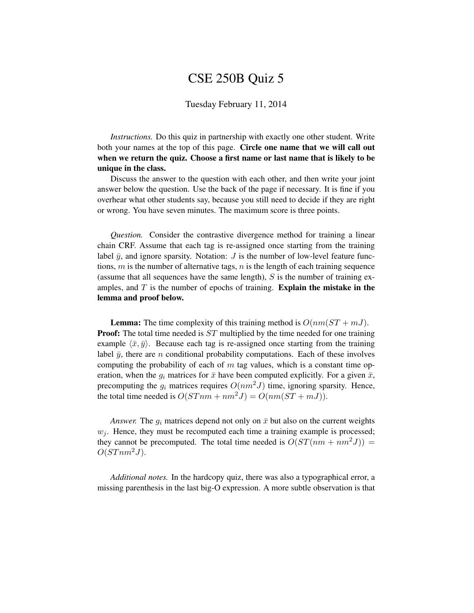## CSE 250B Quiz 5

## Tuesday February 11, 2014

*Instructions.* Do this quiz in partnership with exactly one other student. Write both your names at the top of this page. Circle one name that we will call out when we return the quiz. Choose a first name or last name that is likely to be unique in the class.

Discuss the answer to the question with each other, and then write your joint answer below the question. Use the back of the page if necessary. It is fine if you overhear what other students say, because you still need to decide if they are right or wrong. You have seven minutes. The maximum score is three points.

*Question.* Consider the contrastive divergence method for training a linear chain CRF. Assume that each tag is re-assigned once starting from the training label  $\bar{y}$ , and ignore sparsity. Notation: *J* is the number of low-level feature functions,  $m$  is the number of alternative tags,  $n$  is the length of each training sequence (assume that all sequences have the same length),  $S$  is the number of training examples, and  $T$  is the number of epochs of training. Explain the mistake in the lemma and proof below.

**Lemma:** The time complexity of this training method is  $O(nm(ST + mJ))$ . **Proof:** The total time needed is ST multiplied by the time needed for one training example  $\langle \bar{x}, \bar{y} \rangle$ . Because each tag is re-assigned once starting from the training label  $\bar{y}$ , there are n conditional probability computations. Each of these involves computing the probability of each of  $m$  tag values, which is a constant time operation, when the  $q_i$  matrices for  $\bar{x}$  have been computed explicitly. For a given  $\bar{x}$ , precomputing the  $g_i$  matrices requires  $O(nm^2J)$  time, ignoring sparsity. Hence, the total time needed is  $O(STnm + nm^2J) = O(nm(ST + mJ)).$ 

*Answer.* The  $g_i$  matrices depend not only on  $\bar{x}$  but also on the current weights  $w_i$ . Hence, they must be recomputed each time a training example is processed; they cannot be precomputed. The total time needed is  $O(ST(nm + nm^2J))$  =  $O(STnm^2J)$ .

*Additional notes.* In the hardcopy quiz, there was also a typographical error, a missing parenthesis in the last big-O expression. A more subtle observation is that